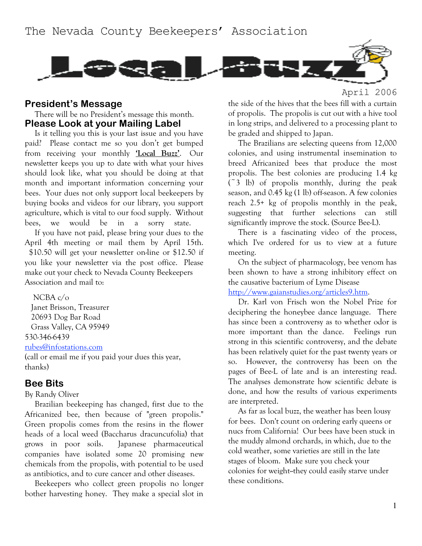

#### **President's Message**

There will be no President's message this month. **Please Look at your Mailing Label**

Is it telling you this is your last issue and you have paid? Please contact me so you don't get bumped from receiving your monthly **'Local Buzz'**. Our newsletter keeps you up to date with what your hives should look like, what you should be doing at that month and important information concerning your bees. Your dues not only support local beekeepers by buying books and videos for our library, you support agriculture, which is vital to our food supply. Without bees, we would be in a sorry state.

If you have not paid, please bring your dues to the April 4th meeting or mail them by April 15th. \$10.50 will get your newsletter on-line or \$12.50 if you like your newsletter via the post office. Please make out your check to Nevada County Beekeepers Association and mail to:

NCBA c/o Janet Brisson, Treasurer 20693 Dog Bar Road Grass Valley, CA 95949 530-346-6439

rubes@infostations.com

(call or email me if you paid your dues this year, thanks)

#### **Bee Bits**

By Randy Oliver

Brazilian beekeeping has changed, first due to the Africanized bee, then because of "green propolis." Green propolis comes from the resins in the flower heads of a local weed (Baccharus dracuncufolia) that grows in poor soils. Japanese pharmaceutical companies have isolated some 20 promising new chemicals from the propolis, with potential to be used as antibiotics, and to cure cancer and other diseases.

Beekeepers who collect green propolis no longer bother harvesting honey. They make a special slot in

April 2006

the side of the hives that the bees fill with a curtain of propolis. The propolis is cut out with a hive tool in long strips, and delivered to a processing plant to be graded and shipped to Japan.

The Brazilians are selecting queens from 12,000 colonies, and using instrumental insemination to breed Africanized bees that produce the most propolis. The best colonies are producing 1.4 kg  $($   $\tilde{3}$  lb) of propolis monthly, during the peak season, and 0.45 kg (1 lb) off-season. A few colonies reach 2.5+ kg of propolis monthly in the peak, suggesting that further selections can still significantly improve the stock. (Source Bee-L).

There is a fascinating video of the process, which I've ordered for us to view at a future meeting.

On the subject of pharmacology, bee venom has been shown to have a strong inhibitory effect on the causative bacterium of Lyme Disease

http://www.gaianstudies.org/articles9.htm.

Dr. Karl von Frisch won the Nobel Prize for deciphering the honeybee dance language. There has since been a controversy as to whether odor is more important than the dance. Feelings run strong in this scientific controversy, and the debate has been relatively quiet for the past twenty years or so. However, the controversy has been on the pages of Bee-L of late and is an interesting read. The analyses demonstrate how scientific debate is done, and how the results of various experiments are interpreted.

As far as local buzz, the weather has been lousy for bees. Don't count on ordering early queens or nucs from California! Our bees have been stuck in the muddy almond orchards, in which, due to the cold weather, some varieties are still in the late stages of bloom. Make sure you check your colonies for weight--they could easily starve under these conditions.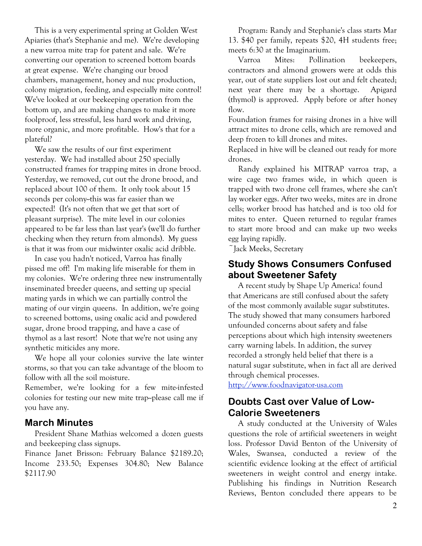This is a very experimental spring at Golden West Apiaries (that's Stephanie and me). We're developing a new varroa mite trap for patent and sale. We're converting our operation to screened bottom boards at great expense. We're changing our brood chambers, management, honey and nuc production, colony migration, feeding, and especially mite control! We've looked at our beekeeping operation from the bottom up, and are making changes to make it more foolproof, less stressful, less hard work and driving, more organic, and more profitable. How's that for a plateful?

We saw the results of our first experiment yesterday. We had installed about 250 specially constructed frames for trapping mites in drone brood. Yesterday, we removed, cut out the drone brood, and replaced about 100 of them. It only took about 15 seconds per colony-this was far easier than we expected! (It's not often that we get that sort of pleasant surprise). The mite level in our colonies appeared to be far less than last year's (we'll do further checking when they return from almonds). My guess is that it was from our midwinter oxalic acid dribble.

In case you hadn't noticed, Varroa has finally pissed me off! I'm making life miserable for them in my colonies. We're ordering three new instrumentally inseminated breeder queens, and setting up special mating yards in which we can partially control the mating of our virgin queens. In addition, we're going to screened bottoms, using oxalic acid and powdered sugar, drone brood trapping, and have a case of thymol as a last resort! Note that we're not using any synthetic miticides any more.

We hope all your colonies survive the late winter storms, so that you can take advantage of the bloom to follow with all the soil moisture.

Remember, we're looking for a few mite-infested colonies for testing our new mite trap--please call me if you have any.

#### **March Minutes**

President Shane Mathias welcomed a dozen guests and beekeeping class signups.

Finance Janet Brisson: February Balance \$2189.20; Income 233.50; Expenses 304.80; New Balance \$2117.90

Program: Randy and Stephanie's class starts Mar 13. \$40 per family, repeats \$20, 4H students free; meets 6:30 at the Imaginarium.

Varroa Mites: Pollination beekeepers, contractors and almond growers were at odds this year, out of state suppliers lost out and felt cheated; next year there may be a shortage. Apigard (thymol) is approved. Apply before or after honey flow.

Foundation frames for raising drones in a hive will attract mites to drone cells, which are removed and deep frozen to kill drones and mites.

Replaced in hive will be cleaned out ready for more drones.

Randy explained his MITRAP varroa trap, a wire cage two frames wide, in which queen is trapped with two drone cell frames, where she can't lay worker eggs. After two weeks, mites are in drone cells; worker brood has hatched and is too old for mites to enter. Queen returned to regular frames to start more brood and can make up two weeks egg laying rapidly.

~Jack Meeks, Secretary

### **Study Shows Consumers Confused about Sweetener Safety**

A recent study by Shape Up America! found that Americans are still confused about the safety of the most commonly available sugar substitutes. The study showed that many consumers harbored unfounded concerns about safety and false perceptions about which high intensity sweeteners carry warning labels. In addition, the survey recorded a strongly held belief that there is a natural sugar substitute, when in fact all are derived through chemical processes.

http://www.foodnavigator-usa.com

# **Doubts Cast over Value of Low-Calorie Sweeteners**

A study conducted at the University of Wales questions the role of artificial sweeteners in weight loss. Professor David Benton of the University of Wales, Swansea, conducted a review of the scientific evidence looking at the effect of artificial sweeteners in weight control and energy intake. Publishing his findings in Nutrition Research Reviews, Benton concluded there appears to be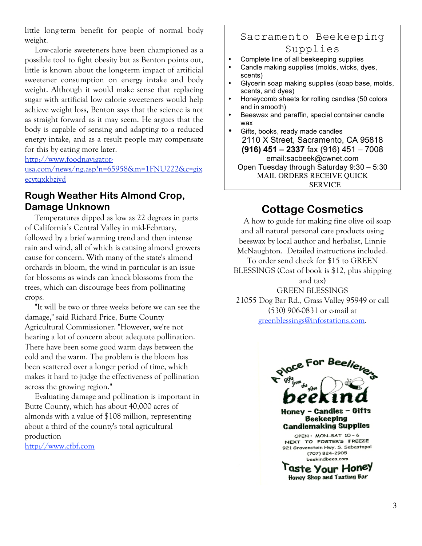little long-term benefit for people of normal body weight.

Low-calorie sweeteners have been championed as a possible tool to fight obesity but as Benton points out, little is known about the long-term impact of artificial sweetener consumption on energy intake and body weight. Although it would make sense that replacing sugar with artificial low calorie sweeteners would help achieve weight loss, Benton says that the science is not as straight forward as it may seem. He argues that the body is capable of sensing and adapting to a reduced energy intake, and as a result people may compensate for this by eating more later.

http://www.foodnavigator-

usa.com/news/ng.asp?n=65958&m=1FNU222&c=gix ecytqxkbziyd

# **Rough Weather Hits Almond Crop, Damage Unknown**

Temperatures dipped as low as 22 degrees in parts of California's Central Valley in mid-February, followed by a brief warming trend and then intense rain and wind, all of which is causing almond growers cause for concern. With many of the state's almond orchards in bloom, the wind in particular is an issue for blossoms as winds can knock blossoms from the trees, which can discourage bees from pollinating crops.

"It will be two or three weeks before we can see the damage," said Richard Price, Butte County Agricultural Commissioner. "However, we're not hearing a lot of concern about adequate pollination. There have been some good warm days between the cold and the warm. The problem is the bloom has been scattered over a longer period of time, which makes it hard to judge the effectiveness of pollination across the growing region."

Evaluating damage and pollination is important in Butte County, which has about 40,000 acres of almonds with a value of \$108 million, representing about a third of the county's total agricultural production

http://www.cfbf.com

## Sacramento Beekeeping Supplies

- Complete line of all beekeeping supplies
- Candle making supplies (molds, wicks, dyes, scents)
- Glycerin soap making supplies (soap base, molds, scents, and dyes)
- Honeycomb sheets for rolling candles (50 colors and in smooth)
- Beeswax and paraffin, special container candle wax
- Gifts, books, ready made candles 2110 X Street, Sacramento, CA 95818 **(916) 451 – 2337** fax (916) 451 – 7008 email:sacbeek@cwnet.com Open Tuesday through Saturday 9:30 – 5:30 MAIL ORDERS RECEIVE QUICK SERVICE

# **Cottage Cosmetics**

A how to guide for making fine olive oil soap and all natural personal care products using beeswax by local author and herbalist, Linnie McNaughton. Detailed instructions included. To order send check for \$15 to GREEN BLESSINGS (Cost of book is \$12, plus shipping and tax) GREEN BLESSINGS 21055 Dog Bar Rd., Grass Valley 95949 or call (530) 906-0831 or e-mail at

greenblessings@infostations.com.



**Faste Your Honey Honey Shop and Tasting Bar**